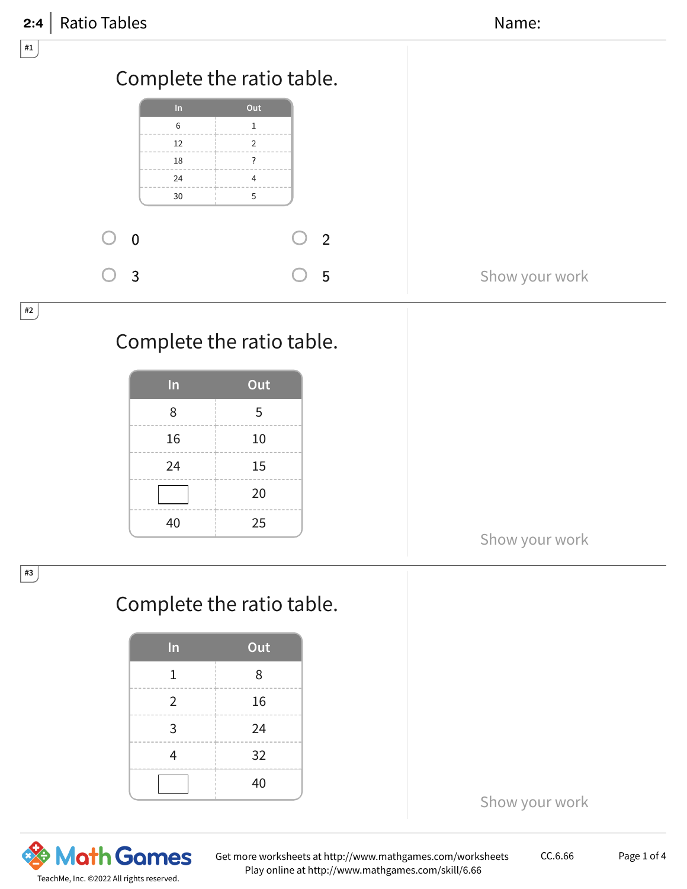| 2:4 | <b>Ratio Tables</b> |    |                           |                | Name:          |
|-----|---------------------|----|---------------------------|----------------|----------------|
| #1  |                     |    |                           |                |                |
|     |                     |    | Complete the ratio table. |                |                |
|     |                     | In | Out                       |                |                |
|     |                     | 6  | $\mathbf{1}$              |                |                |
|     |                     | 12 | $\overline{2}$            |                |                |
|     |                     | 18 | $\overline{?}$            |                |                |
|     |                     | 24 | 4                         |                |                |
|     |                     | 30 | 5                         |                |                |
|     | $\overline{0}$      |    |                           | $\overline{2}$ |                |
|     | $\overline{3}$      |    |                           | 5              | Show your work |
| #2  |                     |    | Complete the ratio table. |                |                |

| In | Out |
|----|-----|
| 8  | 5   |
| 16 | 10  |
| 24 | 15  |
|    | 20  |
| 40 | 25  |

Show your work

## Complete the ratio table.

| In             | Out |
|----------------|-----|
| 1              | 8   |
| $\overline{2}$ | 16  |
| 3              | 24  |
| 4              | 32  |
|                | 40  |



#3

Get more worksheets at http://www.mathgames.com/worksheets Play online at http://www.mathgames.com/skill/6.66

CC.6.66 Page 1 of 4

Show your work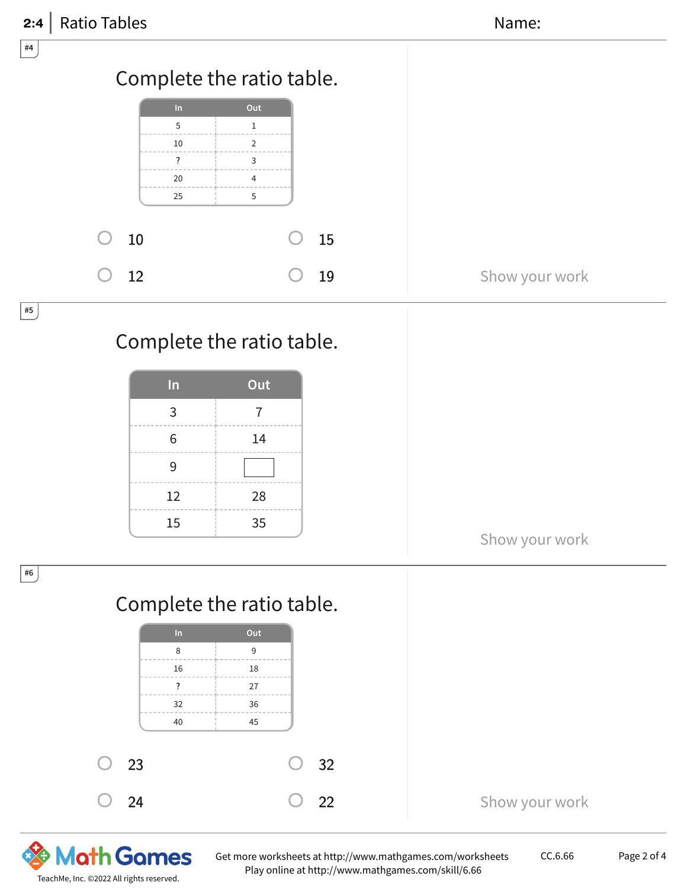| <b>Ratio Tables</b><br>2:4                                   | Name:                                                                                       |                |
|--------------------------------------------------------------|---------------------------------------------------------------------------------------------|----------------|
| $\#4$                                                        |                                                                                             |                |
| $\ln$<br>5<br>10<br>$\overline{?}$<br>20<br>$25\,$           | Complete the ratio table.<br>Out<br>$\mathbf{1}$<br>2<br>3<br>$\overline{4}$<br>$\mathbf 5$ |                |
| ∩<br>$10\,$                                                  | 15                                                                                          |                |
| 12                                                           | 19                                                                                          | Show your work |
| #5<br>Complete the ratio table.                              |                                                                                             |                |
| In<br>$\mathsf{3}$<br>$\,$ 6 $\,$<br>$\mathsf 9$<br>12<br>15 | Out<br>$\overline{7}$<br>14<br>28<br>35                                                     | Show your work |
| #6                                                           |                                                                                             |                |
|                                                              | Complete the ratio table.                                                                   |                |
| $\ln$<br>8<br>16<br>$\overline{?}$<br>32<br>40               | Out<br>$\boldsymbol{9}$<br>18<br>27<br>36<br>45                                             |                |
| 23                                                           | 32                                                                                          |                |
| 24                                                           | 22                                                                                          | Show your work |

**& Math Games** TeachMe, Inc. ©2022 All rights reserved.

Get more worksheets at http://www.mathgames.com/worksheets Play online at http://www.mathgames.com/skill/6.66

CC.6.66 Page 2 of 4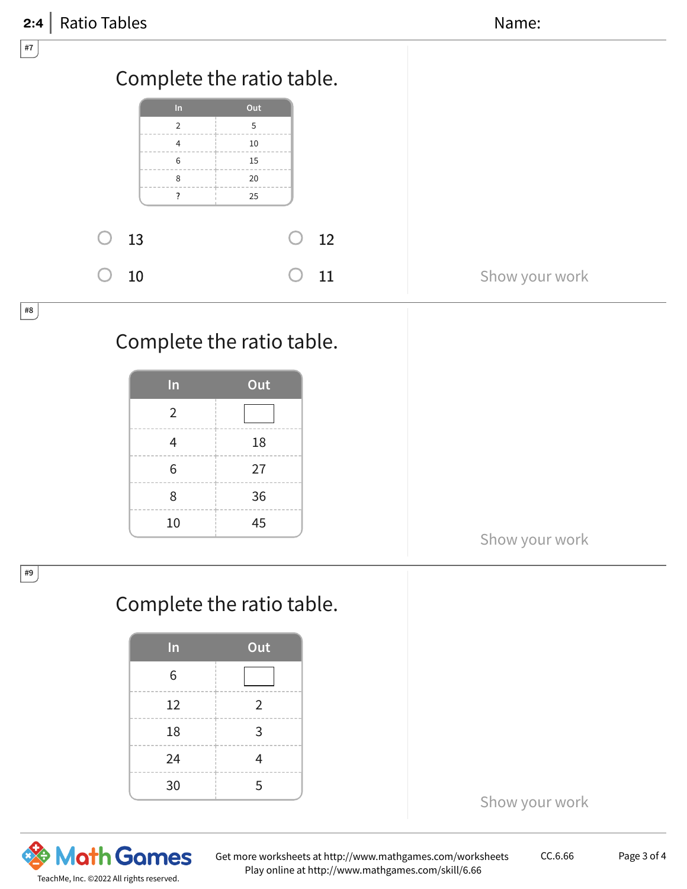| Ratio Tables<br>2:4 |                    |                           |    | Name:          |  |
|---------------------|--------------------|---------------------------|----|----------------|--|
| $ $ #7 $ $          |                    |                           |    |                |  |
|                     |                    | Complete the ratio table. |    |                |  |
|                     | In                 | Out                       |    |                |  |
|                     | $\overline{2}$     | 5                         |    |                |  |
|                     | $\overline{4}$     | 10                        |    |                |  |
|                     | 6                  | 15                        |    |                |  |
|                     | 8                  | 20                        |    |                |  |
|                     | $\overline{\cdot}$ | 25                        |    |                |  |
|                     |                    |                           |    |                |  |
| 13                  |                    |                           | 12 |                |  |
| 10                  |                    |                           | 11 | Show your work |  |
|                     |                    |                           |    |                |  |
| $\#8$               |                    |                           |    |                |  |

## Complete the ratio table.

| In             | Out |
|----------------|-----|
| $\overline{2}$ |     |
| 4              | 18  |
| 6              | 27  |
| 8              | 36  |
| 10             | 45  |

Show your work

## Complete the ratio table.

| In | Out            |
|----|----------------|
| 6  |                |
| 12 | $\overline{2}$ |
| 18 | 3              |
| 24 |                |
| 30 | 5              |



#9

Get more worksheets at http://www.mathgames.com/worksheets Play online at http://www.mathgames.com/skill/6.66

Show your work

CC.6.66 Page 3 of 4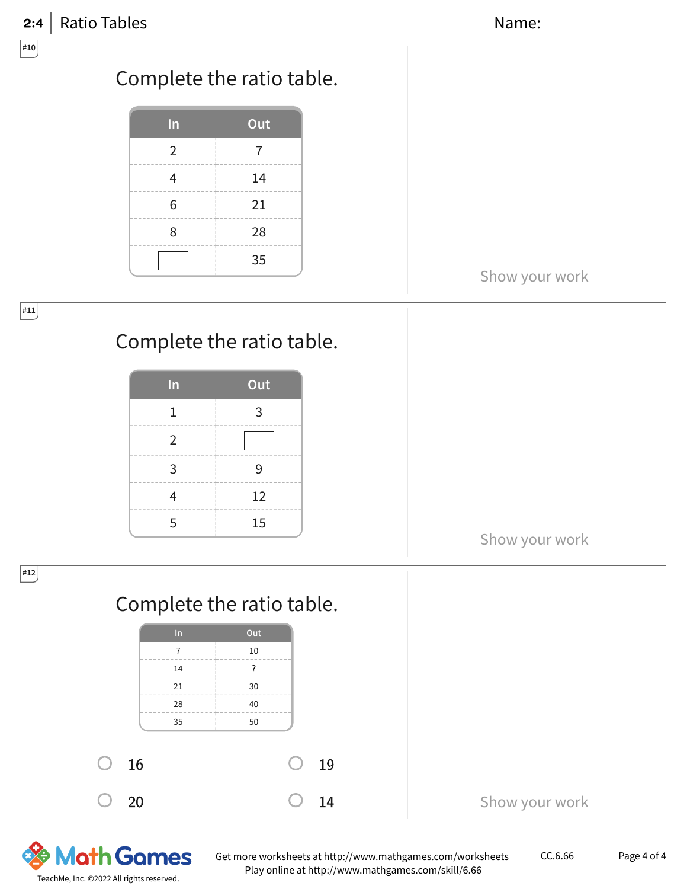

**Math Games** TeachMe, Inc. ©2022 All rights reserved.

Get more worksheets at http://www.mathgames.com/worksheets Play online at http://www.mathgames.com/skill/6.66

CC.6.66 Page 4 of 4